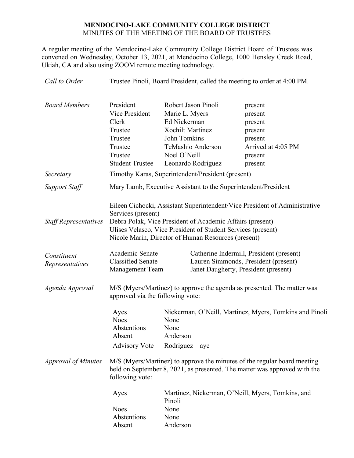# **MENDOCINO-LAKE COMMUNITY COLLEGE DISTRICT** MINUTES OF THE MEETING OF THE BOARD OF TRUSTEES

A regular meeting of the Mendocino-Lake Community College District Board of Trustees was convened on Wednesday, October 13, 2021, at Mendocino College, 1000 Hensley Creek Road, Ukiah, CA and also using ZOOM remote meeting technology.

| Call to Order                  | Trustee Pinoli, Board President, called the meeting to order at 4:00 PM.                                                                                                 |                                                                                                                                                                                  |                                                                                                                          |
|--------------------------------|--------------------------------------------------------------------------------------------------------------------------------------------------------------------------|----------------------------------------------------------------------------------------------------------------------------------------------------------------------------------|--------------------------------------------------------------------------------------------------------------------------|
| <b>Board Members</b>           | President<br>Vice President<br>Clerk<br>Trustee<br>Trustee<br>Trustee<br>Trustee<br><b>Student Trustee</b>                                                               | Robert Jason Pinoli<br>Marie L. Myers<br>Ed Nickerman<br><b>Xochilt Martinez</b><br>John Tomkins<br>TeMashio Anderson<br>Noel O'Neill<br>Leonardo Rodriguez                      | present<br>present<br>present<br>present<br>present<br>Arrived at 4:05 PM<br>present<br>present                          |
| Secretary                      | Timothy Karas, Superintendent/President (present)                                                                                                                        |                                                                                                                                                                                  |                                                                                                                          |
| <b>Support Staff</b>           | Mary Lamb, Executive Assistant to the Superintendent/President                                                                                                           |                                                                                                                                                                                  |                                                                                                                          |
| <b>Staff Representatives</b>   | Services (present)                                                                                                                                                       | Debra Polak, Vice President of Academic Affairs (present)<br>Ulises Velasco, Vice President of Student Services (present)<br>Nicole Marin, Director of Human Resources (present) | Eileen Cichocki, Assistant Superintendent/Vice President of Administrative                                               |
| Constituent<br>Representatives | Academic Senate<br><b>Classified Senate</b><br><b>Management Team</b>                                                                                                    |                                                                                                                                                                                  | Catherine Indermill, President (present)<br>Lauren Simmonds, President (present)<br>Janet Daugherty, President (present) |
| Agenda Approval                | M/S (Myers/Martinez) to approve the agenda as presented. The matter was<br>approved via the following vote:                                                              |                                                                                                                                                                                  |                                                                                                                          |
|                                | Ayes<br><b>Noes</b><br>Abstentions<br>Absent<br><b>Advisory Vote</b>                                                                                                     | None<br>None<br>Anderson<br>$Rodriguez - aye$                                                                                                                                    | Nickerman, O'Neill, Martinez, Myers, Tomkins and Pinoli                                                                  |
| <b>Approval of Minutes</b>     | M/S (Myers/Martinez) to approve the minutes of the regular board meeting<br>held on September 8, 2021, as presented. The matter was approved with the<br>following vote: |                                                                                                                                                                                  |                                                                                                                          |
|                                | Ayes<br><b>Noes</b><br>Abstentions<br>Absent                                                                                                                             | Pinoli<br>None<br>None<br>Anderson                                                                                                                                               | Martinez, Nickerman, O'Neill, Myers, Tomkins, and                                                                        |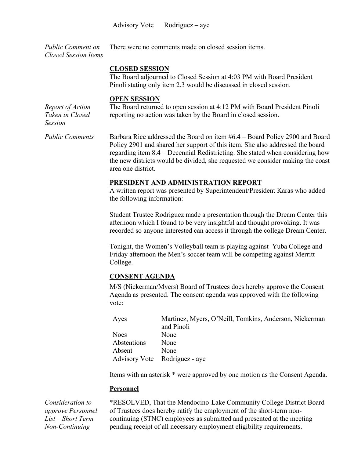Advisory Vote Rodriguez – aye

*Public Comment on Closed Session Items* There were no comments made on closed session items.

#### **CLOSED SESSION**

The Board adjourned to Closed Session at 4:03 PM with Board President Pinoli stating only item 2.3 would be discussed in closed session.

### **OPEN SESSION**

*Report of Action Taken in Closed Session*

The Board returned to open session at 4:12 PM with Board President Pinoli reporting no action was taken by the Board in closed session.

*Public Comments* Barbara Rice addressed the Board on item #6.4 – Board Policy 2900 and Board Policy 2901 and shared her support of this item. She also addressed the board regarding item 8.4 – Decennial Redistricting. She stated when considering how the new districts would be divided, she requested we consider making the coast area one district.

# **PRESIDENT AND ADMINISTRATION REPORT**

A written report was presented by Superintendent/President Karas who added the following information:

Student Trustee Rodriguez made a presentation through the Dream Center this afternoon which I found to be very insightful and thought provoking. It was recorded so anyone interested can access it through the college Dream Center.

Tonight, the Women's Volleyball team is playing against Yuba College and Friday afternoon the Men's soccer team will be competing against Merritt College.

# **CONSENT AGENDA**

M/S (Nickerman/Myers) Board of Trustees does hereby approve the Consent Agenda as presented. The consent agenda was approved with the following vote:

| Ayes        | Martinez, Myers, O'Neill, Tomkins, Anderson, Nickerman |
|-------------|--------------------------------------------------------|
|             | and Pinoli                                             |
| Noes        | None                                                   |
| Abstentions | None                                                   |
| Absent      | None                                                   |
|             | Advisory Vote Rodriguez - aye                          |

Items with an asterisk \* were approved by one motion as the Consent Agenda.

### **Personnel**

*Consideration to approve Personnel List – Short Term Non-Continuing* 

\*RESOLVED, That the Mendocino-Lake Community College District Board of Trustees does hereby ratify the employment of the short-term noncontinuing (STNC) employees as submitted and presented at the meeting pending receipt of all necessary employment eligibility requirements.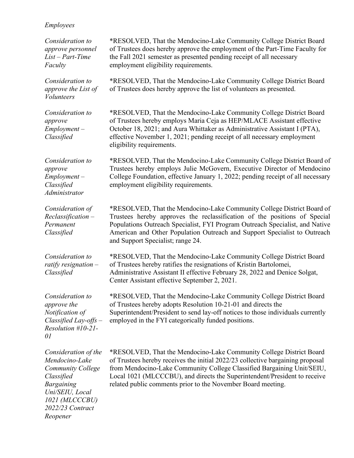# *Employees*

*Reopener*

| Consideration to<br>approve personnel<br>$List - Part$ -Time<br>Faculty                                                                                        | *RESOLVED, That the Mendocino-Lake Community College District Board<br>of Trustees does hereby approve the employment of the Part-Time Faculty for<br>the Fall 2021 semester as presented pending receipt of all necessary<br>employment eligibility requirements.                                                                                                           |
|----------------------------------------------------------------------------------------------------------------------------------------------------------------|------------------------------------------------------------------------------------------------------------------------------------------------------------------------------------------------------------------------------------------------------------------------------------------------------------------------------------------------------------------------------|
| Consideration to<br>approve the List of<br><b>Volunteers</b>                                                                                                   | *RESOLVED, That the Mendocino-Lake Community College District Board<br>of Trustees does hereby approve the list of volunteers as presented.                                                                                                                                                                                                                                  |
| Consideration to<br>approve<br>$Employment -$<br>Classified                                                                                                    | *RESOLVED, That the Mendocino-Lake Community College District Board<br>of Trustees hereby employs Maria Ceja as HEP/MLACE Assistant effective<br>October 18, 2021; and Aura Whittaker as Administrative Assistant I (PTA),<br>effective November 1, 2021; pending receipt of all necessary employment<br>eligibility requirements.                                           |
| Consideration to<br>approve<br>$Employment -$<br>Classified<br>Administrator                                                                                   | *RESOLVED, That the Mendocino-Lake Community College District Board of<br>Trustees hereby employs Julie McGovern, Executive Director of Mendocino<br>College Foundation, effective January 1, 2022; pending receipt of all necessary<br>employment eligibility requirements.                                                                                                 |
| Consideration of<br>$Reclassification -$<br>Permanent<br>Classified                                                                                            | *RESOLVED, That the Mendocino-Lake Community College District Board of<br>Trustees hereby approves the reclassification of the positions of Special<br>Populations Outreach Specialist, FYI Program Outreach Specialist, and Native<br>American and Other Population Outreach and Support Specialist to Outreach<br>and Support Specialist; range 24.                        |
| Consideration to<br>ratify resignation $-$<br>Classified                                                                                                       | *RESOLVED, That the Mendocino-Lake Community College District Board<br>of Trustees hereby ratifies the resignations of Kristin Bartolomei,<br>Administrative Assistant II effective February 28, 2022 and Denice Solgat,<br>Center Assistant effective September 2, 2021.                                                                                                    |
| Consideration to<br>approve the<br>Notification of<br>Classified Lay-offs $-$<br>$Resolution$ #10-21-<br>01                                                    | *RESOLVED, That the Mendocino-Lake Community College District Board<br>of Trustees hereby adopts Resolution 10-21-01 and directs the<br>Superintendent/President to send lay-off notices to those individuals currently<br>employed in the FYI categorically funded positions.                                                                                               |
| Consideration of the<br>Mendocino-Lake<br><b>Community College</b><br>Classified<br><b>Bargaining</b><br>Uni/SEIU, Local<br>1021 (MLCCCBU)<br>2022/23 Contract | *RESOLVED, That the Mendocino-Lake Community College District Board<br>of Trustees hereby receives the initial 2022/23 collective bargaining proposal<br>from Mendocino-Lake Community College Classified Bargaining Unit/SEIU,<br>Local 1021 (MLCCCBU), and directs the Superintendent/President to receive<br>related public comments prior to the November Board meeting. |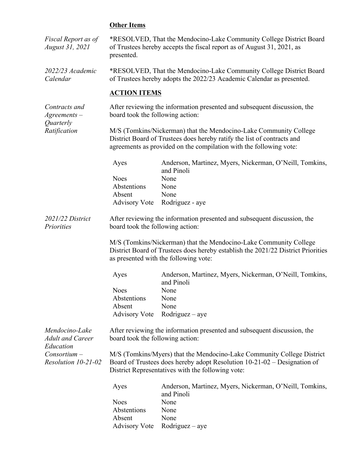# **Other Items**

| Fiscal Report as of<br>August 31, 2021                          | *RESOLVED, That the Mendocino-Lake Community College District Board<br>of Trustees hereby accepts the fiscal report as of August 31, 2021, as<br>presented.                                                        |                                                                          |  |
|-----------------------------------------------------------------|--------------------------------------------------------------------------------------------------------------------------------------------------------------------------------------------------------------------|--------------------------------------------------------------------------|--|
| 2022/23 Academic<br>Calendar                                    | *RESOLVED, That the Mendocino-Lake Community College District Board<br>of Trustees hereby adopts the 2022/23 Academic Calendar as presented.                                                                       |                                                                          |  |
|                                                                 | <b>ACTION ITEMS</b>                                                                                                                                                                                                |                                                                          |  |
| Contracts and<br>$A$ greements $-$<br>Quarterly<br>Ratification | After reviewing the information presented and subsequent discussion, the<br>board took the following action:                                                                                                       |                                                                          |  |
|                                                                 | M/S (Tomkins/Nickerman) that the Mendocino-Lake Community College<br>District Board of Trustees does hereby ratify the list of contracts and<br>agreements as provided on the compilation with the following vote: |                                                                          |  |
|                                                                 | Ayes                                                                                                                                                                                                               | Anderson, Martinez, Myers, Nickerman, O'Neill, Tomkins,<br>and Pinoli    |  |
|                                                                 | <b>Noes</b>                                                                                                                                                                                                        | None                                                                     |  |
|                                                                 | Abstentions                                                                                                                                                                                                        | None                                                                     |  |
|                                                                 | Absent                                                                                                                                                                                                             | None                                                                     |  |
|                                                                 | <b>Advisory Vote</b>                                                                                                                                                                                               | Rodriguez - aye                                                          |  |
| 2021/22 District<br>Priorities                                  | board took the following action:                                                                                                                                                                                   | After reviewing the information presented and subsequent discussion, the |  |
|                                                                 | M/S (Tomkins/Nickerman) that the Mendocino-Lake Community College<br>District Board of Trustees does hereby establish the 2021/22 District Priorities<br>as presented with the following vote:                     |                                                                          |  |
|                                                                 | Ayes                                                                                                                                                                                                               | Anderson, Martinez, Myers, Nickerman, O'Neill, Tomkins,<br>and Pinoli    |  |
|                                                                 | <b>Noes</b>                                                                                                                                                                                                        | None                                                                     |  |
|                                                                 | Abstentions                                                                                                                                                                                                        | None                                                                     |  |
|                                                                 | Absent                                                                                                                                                                                                             | None                                                                     |  |
|                                                                 | <b>Advisory Vote</b>                                                                                                                                                                                               | $Rodriguez - aye$                                                        |  |
| Mendocino-Lake<br><b>Adult and Career</b>                       | After reviewing the information presented and subsequent discussion, the<br>board took the following action:                                                                                                       |                                                                          |  |
| Education                                                       |                                                                                                                                                                                                                    |                                                                          |  |
| $Consortium -$<br>Resolution 10-21-02                           | M/S (Tomkins/Myers) that the Mendocino-Lake Community College District<br>Board of Trustees does hereby adopt Resolution 10-21-02 - Designation of                                                                 |                                                                          |  |
|                                                                 | District Representatives with the following vote:                                                                                                                                                                  |                                                                          |  |
|                                                                 | Ayes                                                                                                                                                                                                               | Anderson, Martinez, Myers, Nickerman, O'Neill, Tomkins,<br>and Pinoli    |  |
|                                                                 | <b>Noes</b>                                                                                                                                                                                                        | None                                                                     |  |
|                                                                 | Abstentions                                                                                                                                                                                                        | None                                                                     |  |
|                                                                 | Absent                                                                                                                                                                                                             | None                                                                     |  |
|                                                                 | <b>Advisory Vote</b>                                                                                                                                                                                               | $Rodriguez - aye$                                                        |  |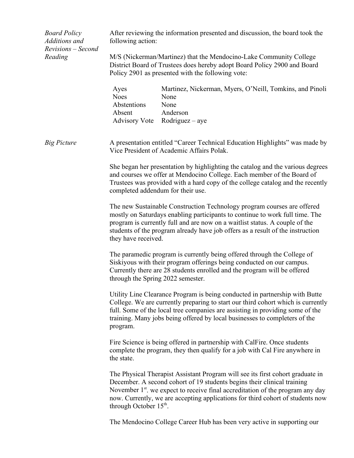| <b>Board Policy</b><br>Additions and | After reviewing the information presented and discussion, the board took the<br>following action:                                                                                                                                                                                                                                               |                                                                                                                                                                                                                                                                                                                                 |  |
|--------------------------------------|-------------------------------------------------------------------------------------------------------------------------------------------------------------------------------------------------------------------------------------------------------------------------------------------------------------------------------------------------|---------------------------------------------------------------------------------------------------------------------------------------------------------------------------------------------------------------------------------------------------------------------------------------------------------------------------------|--|
| Revisions - Second<br>Reading        | M/S (Nickerman/Martinez) that the Mendocino-Lake Community College<br>District Board of Trustees does hereby adopt Board Policy 2900 and Board<br>Policy 2901 as presented with the following vote:                                                                                                                                             |                                                                                                                                                                                                                                                                                                                                 |  |
|                                      | Ayes<br><b>Noes</b><br>Abstentions<br>Absent                                                                                                                                                                                                                                                                                                    | Martinez, Nickerman, Myers, O'Neill, Tomkins, and Pinoli<br>None<br>None<br>Anderson<br>Advisory Vote Rodriguez – aye                                                                                                                                                                                                           |  |
| <b>Big Picture</b>                   | A presentation entitled "Career Technical Education Highlights" was made by<br>Vice President of Academic Affairs Polak.                                                                                                                                                                                                                        |                                                                                                                                                                                                                                                                                                                                 |  |
|                                      | She began her presentation by highlighting the catalog and the various degrees<br>and courses we offer at Mendocino College. Each member of the Board of<br>Trustees was provided with a hard copy of the college catalog and the recently<br>completed addendum for their use.                                                                 |                                                                                                                                                                                                                                                                                                                                 |  |
|                                      | The new Sustainable Construction Technology program courses are offered<br>mostly on Saturdays enabling participants to continue to work full time. The<br>program is currently full and are now on a waitlist status. A couple of the<br>students of the program already have job offers as a result of the instruction<br>they have received. |                                                                                                                                                                                                                                                                                                                                 |  |
|                                      | The paramedic program is currently being offered through the College of<br>Siskiyous with their program offerings being conducted on our campus.<br>Currently there are 28 students enrolled and the program will be offered<br>through the Spring 2022 semester.                                                                               |                                                                                                                                                                                                                                                                                                                                 |  |
|                                      | Utility Line Clearance Program is being conducted in partnership with Butte<br>College. We are currently preparing to start our third cohort which is currently<br>full. Some of the local tree companies are assisting in providing some of the<br>training. Many jobs being offered by local businesses to completers of the<br>program.      |                                                                                                                                                                                                                                                                                                                                 |  |
|                                      | the state.                                                                                                                                                                                                                                                                                                                                      | Fire Science is being offered in partnership with CalFire. Once students<br>complete the program, they then qualify for a job with Cal Fire anywhere in                                                                                                                                                                         |  |
|                                      | through October 15 <sup>th</sup> .                                                                                                                                                                                                                                                                                                              | The Physical Therapist Assistant Program will see its first cohort graduate in<br>December. A second cohort of 19 students begins their clinical training<br>November $1st$ , we expect to receive final accreditation of the program any day<br>now. Currently, we are accepting applications for third cohort of students now |  |
|                                      |                                                                                                                                                                                                                                                                                                                                                 | The Mendocino College Career Hub has been very active in supporting our                                                                                                                                                                                                                                                         |  |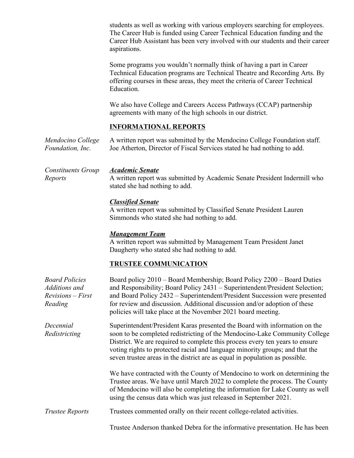students as well as working with various employers searching for employees. The Career Hub is funded using Career Technical Education funding and the Career Hub Assistant has been very involved with our students and their career aspirations.

Some programs you wouldn't normally think of having a part in Career Technical Education programs are Technical Theatre and Recording Arts. By offering courses in these areas, they meet the criteria of Career Technical Education.

We also have College and Careers Access Pathways (CCAP) partnership agreements with many of the high schools in our district.

### **INFORMATIONAL REPORTS**

*Mendocino College Foundation, Inc.* A written report was submitted by the Mendocino College Foundation staff. Joe Atherton, Director of Fiscal Services stated he had nothing to add.

*Constituents Group Reports*

### *Academic Senate*

A written report was submitted by Academic Senate President Indermill who stated she had nothing to add.

# *Classified Senate*

A written report was submitted by Classified Senate President Lauren Simmonds who stated she had nothing to add.

# *Management Team*

A written report was submitted by Management Team President Janet Daugherty who stated she had nothing to add.

# **TRUSTEE COMMUNICATION**

| <b>Board Policies</b><br>Additions and<br>$Revisions - First$<br>Reading | Board policy 2010 - Board Membership; Board Policy 2200 - Board Duties<br>and Responsibility; Board Policy 2431 – Superintendent/President Selection;<br>and Board Policy 2432 - Superintendent/President Succession were presented<br>for review and discussion. Additional discussion and/or adoption of these<br>policies will take place at the November 2021 board meeting.                        |
|--------------------------------------------------------------------------|---------------------------------------------------------------------------------------------------------------------------------------------------------------------------------------------------------------------------------------------------------------------------------------------------------------------------------------------------------------------------------------------------------|
| Decennial<br>Redistricting                                               | Superintendent/President Karas presented the Board with information on the<br>soon to be completed redistricting of the Mendocino-Lake Community College<br>District. We are required to complete this process every ten years to ensure<br>voting rights to protected racial and language minority groups; and that the<br>seven trustee areas in the district are as equal in population as possible. |
|                                                                          | We have contracted with the County of Mendocino to work on determining the<br>Trustee areas. We have until March 2022 to complete the process. The County<br>of Mendocino will also be completing the information for Lake County as well<br>using the census data which was just released in September 2021.                                                                                           |
| <b>Trustee Reports</b>                                                   | Trustees commented orally on their recent college-related activities.                                                                                                                                                                                                                                                                                                                                   |
|                                                                          | Trustee Anderson thanked Debra for the informative presentation. He has been                                                                                                                                                                                                                                                                                                                            |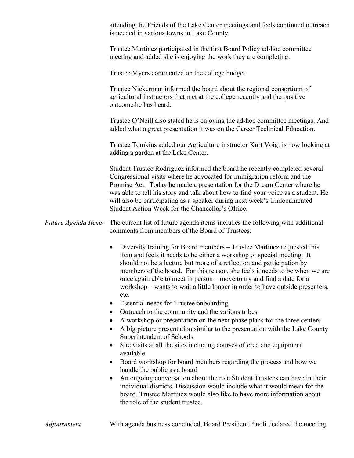attending the Friends of the Lake Center meetings and feels continued outreach is needed in various towns in Lake County.

Trustee Martinez participated in the first Board Policy ad-hoc committee meeting and added she is enjoying the work they are completing.

Trustee Myers commented on the college budget.

Trustee Nickerman informed the board about the regional consortium of agricultural instructors that met at the college recently and the positive outcome he has heard.

Trustee O'Neill also stated he is enjoying the ad-hoc committee meetings. And added what a great presentation it was on the Career Technical Education.

Trustee Tomkins added our Agriculture instructor Kurt Voigt is now looking at adding a garden at the Lake Center.

Student Trustee Rodriguez informed the board he recently completed several Congressional visits where he advocated for immigration reform and the Promise Act. Today he made a presentation for the Dream Center where he was able to tell his story and talk about how to find your voice as a student. He will also be participating as a speaker during next week's Undocumented Student Action Week for the Chancellor's Office.

# *Future Agenda Items* The current list of future agenda items includes the following with additional comments from members of the Board of Trustees:

- Diversity training for Board members Trustee Martinez requested this item and feels it needs to be either a workshop or special meeting. It should not be a lecture but more of a reflection and participation by members of the board. For this reason, she feels it needs to be when we are once again able to meet in person – move to try and find a date for a workshop – wants to wait a little longer in order to have outside presenters, etc.
- Essential needs for Trustee onboarding
- Outreach to the community and the various tribes
- A workshop or presentation on the next phase plans for the three centers
- A big picture presentation similar to the presentation with the Lake County Superintendent of Schools.
- Site visits at all the sites including courses offered and equipment available.
- Board workshop for board members regarding the process and how we handle the public as a board
- An ongoing conversation about the role Student Trustees can have in their individual districts. Discussion would include what it would mean for the board. Trustee Martinez would also like to have more information about the role of the student trustee.